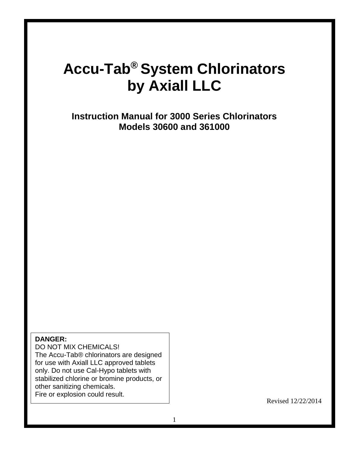# **Accu-Tab® System Chlorinators by Axiall LLC**

**Instruction Manual for 3000 Series Chlorinators Models 30600 and 361000**

#### **DANGER:**

 DO NOT MIX CHEMICALS! The Accu-Tab® chlorinators are designed for use with Axiall LLC approved tablets only. Do not use Cal-Hypo tablets with stabilized chlorine or bromine products, or other sanitizing chemicals. Fire or explosion could result.

Revised 12/22/2014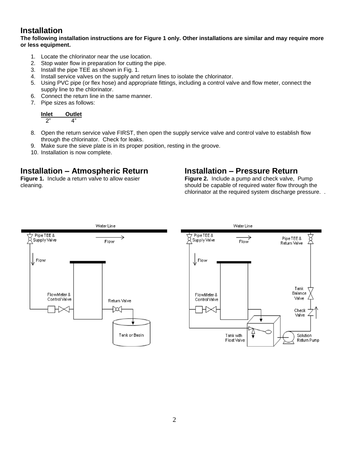# **Installation**

**The following installation instructions are for Figure 1 only. Other installations are similar and may require more or less equipment.** 

- 1. Locate the chlorinator near the use location.
- 2. Stop water flow in preparation for cutting the pipe.
- 3. Install the pipe TEE as shown in Fig. 1.
- 4. Install service valves on the supply and return lines to isolate the chlorinator.
- 5. Using PVC pipe (or flex hose) and appropriate fittings, including a control valve and flow meter, connect the supply line to the chlorinator.
- 6. Connect the return line in the same manner.
- 7. Pipe sizes as follows:

| Inlet | <b>Outlet</b> |
|-------|---------------|
|       |               |

- 8. Open the return service valve FIRST, then open the supply service valve and control valve to establish flow through the chlorinator. Check for leaks.
- 9. Make sure the sieve plate is in its proper position, resting in the groove.
- 10. Installation is now complete.

## **Installation – Atmospheric Return**

**Figure 1.** Include a return valve to allow easier cleaning.

### **Installation – Pressure Return**

**Figure 2.** Include a pump and check valve, Pump should be capable of required water flow through the chlorinator at the required system discharge pressure. .

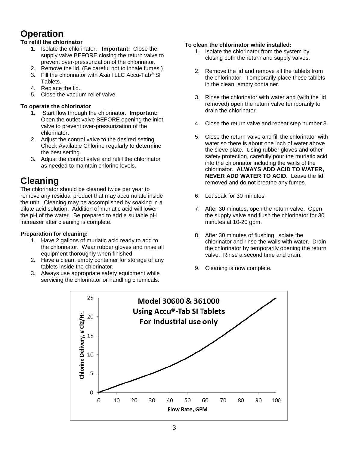# **Operation**

#### **To refill the chlorinator**

- 1. Isolate the chlorinator. **Important:** Close the supply valve BEFORE closing the return valve to prevent over-pressurization of the chlorinator.
- 2. Remove the lid. (Be careful not to inhale fumes.)
- 3. Fill the chlorinator with Axiall LLC Accu-Tab® SI Tablets.
- 4. Replace the lid.
- 5. Close the vacuum relief valve.

#### **To operate the chlorinator**

- 1. Start flow through the chlorinator. **Important:** Open the outlet valve BEFORE opening the inlet valve to prevent over-pressurization of the chlorinator.
- 2. Adjust the control valve to the desired setting. Check Available Chlorine regularly to determine the best setting.
- 3. Adjust the control valve and refill the chlorinator as needed to maintain chlorine levels.

# **Cleaning**

The chlorinator should be cleaned twice per year to remove any residual product that may accumulate inside the unit. Cleaning may be accomplished by soaking in a dilute acid solution. Addition of muriatic acid will lower the pH of the water. Be prepared to add a suitable pH increaser after cleaning is complete.

#### **Preparation for cleaning:**

- 1. Have 2 gallons of muriatic acid ready to add to the chlorinator. Wear rubber gloves and rinse all equipment thoroughly when finished.
- 2. Have a clean, empty container for storage of any tablets inside the chlorinator.
- 3. Always use appropriate safety equipment while servicing the chlorinator or handling chemicals.

#### **To clean the chlorinator while installed:**

- 1. Isolate the chlorinator from the system by closing both the return and supply valves.
- 2. Remove the lid and remove all the tablets from the chlorinator. Temporarily place these tablets in the clean, empty container.
- 3. Rinse the chlorinator with water and (with the lid removed) open the return valve temporarily to drain the chlorinator.
- 4. Close the return valve and repeat step number 3.
- 5. Close the return valve and fill the chlorinator with water so there is about one inch of water above the sieve plate. Using rubber gloves and other safety protection, carefully pour the muriatic acid into the chlorinator including the walls of the chlorinator. **ALWAYS ADD ACID TO WATER, NEVER ADD WATER TO ACID.** Leave the lid removed and do not breathe any fumes.
- 6. Let soak for 30 minutes.
- 7. After 30 minutes, open the return valve. Open the supply valve and flush the chlorinator for 30 minutes at 10-20 gpm.
- 8. After 30 minutes of flushing, isolate the chlorinator and rinse the walls with water. Drain the chlorinator by temporarily opening the return valve. Rinse a second time and drain.
- 9. Cleaning is now complete.